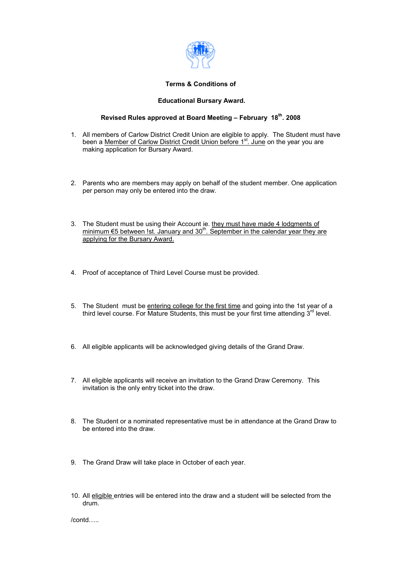

#### **Terms & Conditions of**

#### **Educational Bursary Award.**

### **Revised Rules approved at Board Meeting – February 18th. 2008**

- 1. All members of Carlow District Credit Union are eligible to apply. The Student must have been a Member of Carlow District Credit Union before 1<sup>st</sup>. June on the year you are making application for Bursary Award.
- 2. Parents who are members may apply on behalf of the student member. One application per person may only be entered into the draw.
- 3. The Student must be using their Account ie. they must have made 4 lodgments of minimum €5 between !st. January and 30<sup>th</sup>. September in the calendar year they are applying for the Bursary Award.
- 4. Proof of acceptance of Third Level Course must be provided.
- 5. The Student must be entering college for the first time and going into the 1st year of a third level course. For Mature Students, this must be your first time attending  $3^{rd}$  level.
- 6. All eligible applicants will be acknowledged giving details of the Grand Draw.
- 7. All eligible applicants will receive an invitation to the Grand Draw Ceremony. This invitation is the only entry ticket into the draw.
- 8. The Student or a nominated representative must be in attendance at the Grand Draw to be entered into the draw.
- 9. The Grand Draw will take place in October of each year.
- 10. All eligible entries will be entered into the draw and a student will be selected from the drum.

/contd…..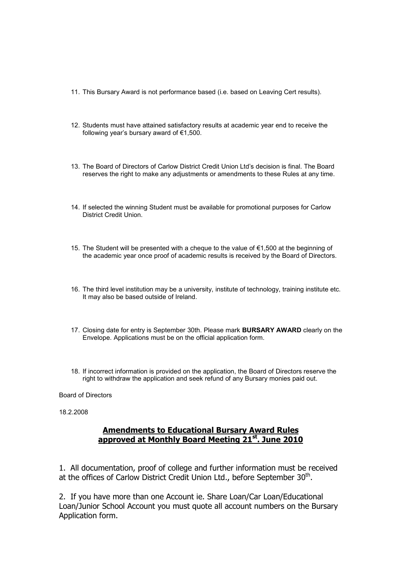- 11. This Bursary Award is not performance based (i.e. based on Leaving Cert results).
- 12. Students must have attained satisfactory results at academic year end to receive the following year's bursary award of €1,500.
- 13. The Board of Directors of Carlow District Credit Union Ltd's decision is final. The Board reserves the right to make any adjustments or amendments to these Rules at any time.
- 14. If selected the winning Student must be available for promotional purposes for Carlow District Credit Union.
- 15. The Student will be presented with a cheque to the value of €1,500 at the beginning of the academic year once proof of academic results is received by the Board of Directors.
- 16. The third level institution may be a university, institute of technology, training institute etc. It may also be based outside of Ireland.
- 17. Closing date for entry is September 30th. Please mark **BURSARY AWARD** clearly on the Envelope. Applications must be on the official application form.
- 18. If incorrect information is provided on the application, the Board of Directors reserve the right to withdraw the application and seek refund of any Bursary monies paid out.

Board of Directors

18.2.2008

### **Amendments to Educational Bursary Award Rules approved at Monthly Board Meeting 21st. June 2010**

1. All documentation, proof of college and further information must be received at the offices of Carlow District Credit Union Ltd., before September  $30<sup>th</sup>$ .

2. If you have more than one Account ie. Share Loan/Car Loan/Educational Loan/Junior School Account you must quote all account numbers on the Bursary Application form.